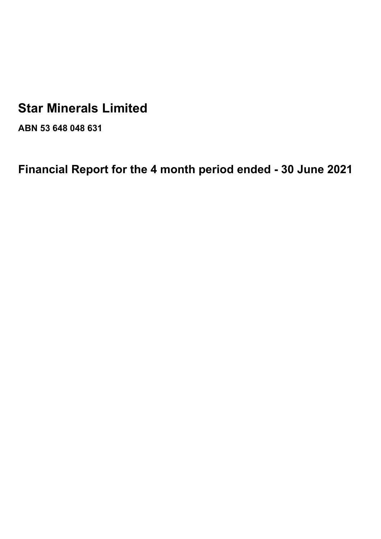# **Star Minerals Limited**

**ABN 53 648 048 631**

**Financial Report for the 4 month period ended - 30 June 2021**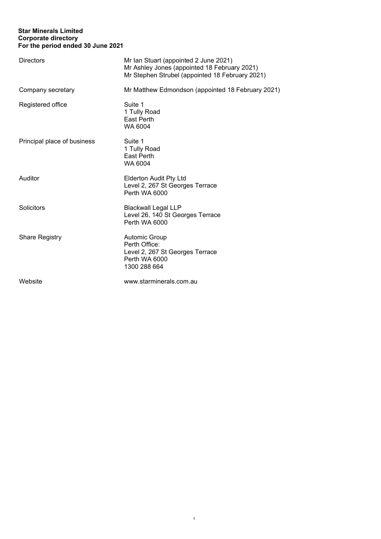# **Star Minerals Limited Corporate directory For the period ended 30 June 2021**

| <b>Directors</b>            | Mr Ian Stuart (appointed 2 June 2021)<br>Mr Ashley Jones (appointed 18 February 2021)<br>Mr Stephen Strubel (appointed 18 February 2021) |
|-----------------------------|------------------------------------------------------------------------------------------------------------------------------------------|
| Company secretary           | Mr Matthew Edmondson (appointed 18 February 2021)                                                                                        |
| Registered office           | Suite 1<br>1 Tully Road<br>East Perth<br>WA 6004                                                                                         |
| Principal place of business | Suite 1<br>1 Tully Road<br>East Perth<br>WA 6004                                                                                         |
| Auditor                     | <b>Elderton Audit Pty Ltd</b><br>Level 2, 267 St Georges Terrace<br>Perth WA 6000                                                        |
| Solicitors                  | <b>Blackwall Legal LLP</b><br>Level 26, 140 St Georges Terrace<br>Perth WA 6000                                                          |
| <b>Share Registry</b>       | Automic Group<br>Perth Office:<br>Level 2, 267 St Georges Terrace<br>Perth WA 6000<br>1300 288 664                                       |
| Website                     | www.starminerals.com.au                                                                                                                  |

1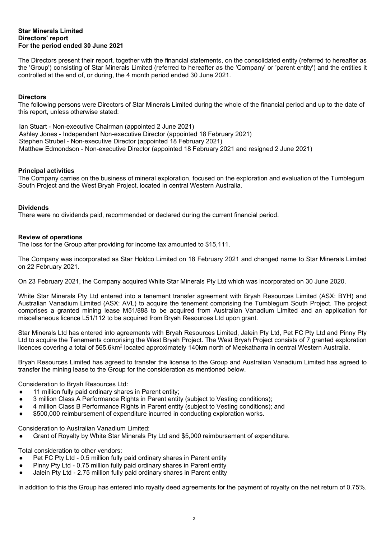The Directors present their report, together with the financial statements, on the consolidated entity (referred to hereafter as the 'Group') consisting of Star Minerals Limited (referred to hereafter as the 'Company' or 'parent entity') and the entities it controlled at the end of, or during, the 4 month period ended 30 June 2021.

# **Directors**

The following persons were Directors of Star Minerals Limited during the whole of the financial period and up to the date of this report, unless otherwise stated:

Ian Stuart - Non-executive Chairman (appointed 2 June 2021) Ashley Jones - Independent Non-executive Director (appointed 18 February 2021) Stephen Strubel - Non-executive Director (appointed 18 February 2021) Matthew Edmondson - Non-executive Director (appointed 18 February 2021 and resigned 2 June 2021)

#### **Principal activities**

The Company carries on the business of mineral exploration, focused on the exploration and evaluation of the Tumblegum South Project and the West Bryah Project, located in central Western Australia.

# **Dividends**

There were no dividends paid, recommended or declared during the current financial period.

# **Review of operations**

The loss for the Group after providing for income tax amounted to \$15,111.

The Company was incorporated as Star Holdco Limited on 18 February 2021 and changed name to Star Minerals Limited on 22 February 2021.

On 23 February 2021, the Company acquired White Star Minerals Pty Ltd which was incorporated on 30 June 2020.

White Star Minerals Pty Ltd entered into a tenement transfer agreement with Bryah Resources Limited (ASX: BYH) and Australian Vanadium Limited (ASX: AVL) to acquire the tenement comprising the Tumblegum South Project. The project comprises a granted mining lease M51/888 to be acquired from Australian Vanadium Limited and an application for miscellaneous licence L51/112 to be acquired from Bryah Resources Ltd upon grant.

Star Minerals Ltd has entered into agreements with Bryah Resources Limited, Jalein Pty Ltd, Pet FC Pty Ltd and Pinny Pty Ltd to acquire the Tenements comprising the West Bryah Project. The West Bryah Project consists of 7 granted exploration licences covering a total of 565.6km<sup>2</sup> located approximately 140km north of Meekatharra in central Western Australia.

Bryah Resources Limited has agreed to transfer the license to the Group and Australian Vanadium Limited has agreed to transfer the mining lease to the Group for the consideration as mentioned below.

Consideration to Bryah Resources Ltd:

- 11 million fully paid ordinary shares in Parent entity;
- 3 million Class A Performance Rights in Parent entity (subject to Vesting conditions);
- 4 million Class B Performance Rights in Parent entity (subject to Vesting conditions); and
- \$500,000 reimbursement of expenditure incurred in conducting exploration works.

Consideration to Australian Vanadium Limited:

Grant of Royalty by White Star Minerals Pty Ltd and \$5,000 reimbursement of expenditure.

Total consideration to other vendors:

- Pet FC Pty Ltd 0.5 million fully paid ordinary shares in Parent entity
- Pinny Pty Ltd 0.75 million fully paid ordinary shares in Parent entity
- Jalein Pty Ltd 2.75 million fully paid ordinary shares in Parent entity

In addition to this the Group has entered into royalty deed agreements for the payment of royalty on the net return of 0.75%.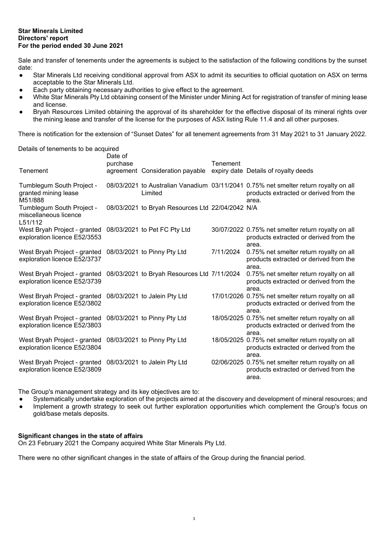Sale and transfer of tenements under the agreements is subject to the satisfaction of the following conditions by the sunset date:

- Star Minerals Ltd receiving conditional approval from ASX to admit its securities to official quotation on ASX on terms acceptable to the Star Minerals Ltd.
- Each party obtaining necessary authorities to give effect to the agreement.
- White Star Minerals Pty Ltd obtaining consent of the Minister under Mining Act for registration of transfer of mining lease and license.
- Bryah Resources Limited obtaining the approval of its shareholder for the effective disposal of its mineral rights over the mining lease and transfer of the license for the purposes of ASX listing Rule 11.4 and all other purposes.

There is notification for the extension of "Sunset Dates" for all tenement agreements from 31 May 2021 to 31 January 2022.

Details of tenements to be acquired

| Tenement                                                                                  | Date of<br>purchase | agreement Consideration payable                  | Tenement  | expiry date Details of royalty deeds                                                                                                    |
|-------------------------------------------------------------------------------------------|---------------------|--------------------------------------------------|-----------|-----------------------------------------------------------------------------------------------------------------------------------------|
| Tumblegum South Project -<br>granted mining lease<br>M51/888                              |                     | Limited                                          |           | 08/03/2021 to Australian Vanadium 03/11/2041 0.75% net smelter return royalty on all<br>products extracted or derived from the<br>area. |
| Tumblegum South Project -<br>miscellaneous licence<br>L51/112                             |                     | 08/03/2021 to Bryah Resources Ltd 22/04/2042 N/A |           |                                                                                                                                         |
| West Bryah Project - granted<br>exploration licence E52/3553                              |                     | 08/03/2021 to Pet FC Pty Ltd                     |           | 30/07/2022 0.75% net smelter return royalty on all<br>products extracted or derived from the<br>area.                                   |
| West Bryah Project - granted<br>exploration licence E52/3737                              |                     | 08/03/2021 to Pinny Pty Ltd                      | 7/11/2024 | 0.75% net smelter return royalty on all<br>products extracted or derived from the<br>area.                                              |
| West Bryah Project - granted<br>exploration licence E52/3739                              |                     | 08/03/2021 to Bryah Resources Ltd 7/11/2024      |           | 0.75% net smelter return royalty on all<br>products extracted or derived from the<br>area.                                              |
| West Bryah Project - granted 08/03/2021 to Jalein Pty Ltd<br>exploration licence E52/3802 |                     |                                                  |           | 17/01/2026 0.75% net smelter return royalty on all<br>products extracted or derived from the<br>area.                                   |
| West Bryah Project - granted<br>exploration licence E52/3803                              |                     | 08/03/2021 to Pinny Pty Ltd                      |           | 18/05/2025 0.75% net smelter return royalty on all<br>products extracted or derived from the<br>area.                                   |
| West Bryah Project - granted<br>exploration licence E52/3804                              |                     | 08/03/2021 to Pinny Pty Ltd                      |           | 18/05/2025 0.75% net smelter return royalty on all<br>products extracted or derived from the<br>area.                                   |
| West Bryah Project - granted 08/03/2021 to Jalein Pty Ltd<br>exploration licence E52/3809 |                     |                                                  |           | 02/06/2025 0.75% net smelter return royalty on all<br>products extracted or derived from the<br>area.                                   |

The Group's management strategy and its key objectives are to:

- Systematically undertake exploration of the projects aimed at the discovery and development of mineral resources; and
- Implement a growth strategy to seek out further exploration opportunities which complement the Group's focus on gold/base metals deposits.

# **Significant changes in the state of affairs**

On 23 February 2021 the Company acquired White Star Minerals Pty Ltd.

There were no other significant changes in the state of affairs of the Group during the financial period.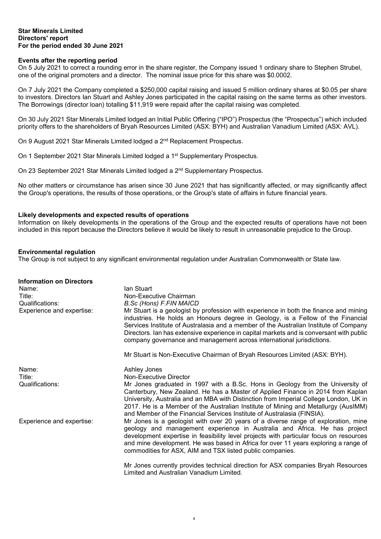# **Events after the reporting period**

On 5 July 2021 to correct a rounding error in the share register, the Company issued 1 ordinary share to Stephen Strubel, one of the original promoters and a director. The nominal issue price for this share was \$0.0002.

On 7 July 2021 the Company completed a \$250,000 capital raising and issued 5 million ordinary shares at \$0.05 per share to investors. Directors Ian Stuart and Ashley Jones participated in the capital raising on the same terms as other investors. The Borrowings (director loan) totalling \$11,919 were repaid after the capital raising was completed.

On 30 July 2021 Star Minerals Limited lodged an Initial Public Offering ("IPO") Prospectus (the "Prospectus") which included priority offers to the shareholders of Bryah Resources Limited (ASX: BYH) and Australian Vanadium Limited (ASX: AVL).

On 9 August 2021 Star Minerals Limited lodged a 2<sup>nd</sup> Replacement Prospectus.

On 1 September 2021 Star Minerals Limited lodged a 1<sup>st</sup> Supplementary Prospectus.

On 23 September 2021 Star Minerals Limited lodged a 2<sup>nd</sup> Supplementary Prospectus.

No other matters or circumstance has arisen since 30 June 2021 that has significantly affected, or may significantly affect the Group's operations, the results of those operations, or the Group's state of affairs in future financial years.

# **Likely developments and expected results of operations**

Information on likely developments in the operations of the Group and the expected results of operations have not been included in this report because the Directors believe it would be likely to result in unreasonable prejudice to the Group.

# **Environmental regulation**

The Group is not subject to any significant environmental regulation under Australian Commonwealth or State law.

| <b>Information on Directors</b> |                                                                                                                                                                                                                                                                                                                                                                                                                                        |
|---------------------------------|----------------------------------------------------------------------------------------------------------------------------------------------------------------------------------------------------------------------------------------------------------------------------------------------------------------------------------------------------------------------------------------------------------------------------------------|
| Name:                           | lan Stuart                                                                                                                                                                                                                                                                                                                                                                                                                             |
| Title:                          | Non-Executive Chairman                                                                                                                                                                                                                                                                                                                                                                                                                 |
| Qualifications:                 | <b>B.Sc (Hons) F.FIN MAICD</b>                                                                                                                                                                                                                                                                                                                                                                                                         |
| Experience and expertise:       | Mr Stuart is a geologist by profession with experience in both the finance and mining<br>industries. He holds an Honours degree in Geology, is a Fellow of the Financial<br>Services Institute of Australasia and a member of the Australian Institute of Company<br>Directors. Ian has extensive experience in capital markets and is conversant with public<br>company governance and management across international jurisdictions. |
|                                 | Mr Stuart is Non-Executive Chairman of Bryah Resources Limited (ASX: BYH).                                                                                                                                                                                                                                                                                                                                                             |
| Name:                           | Ashley Jones                                                                                                                                                                                                                                                                                                                                                                                                                           |
| Title:                          | Non-Executive Director                                                                                                                                                                                                                                                                                                                                                                                                                 |
| Qualifications:                 | Mr Jones graduated in 1997 with a B.Sc. Hons in Geology from the University of<br>Canterbury, New Zealand. He has a Master of Applied Finance in 2014 from Kaplan<br>University, Australia and an MBA with Distinction from Imperial College London, UK in<br>2017. He is a Member of the Australian Institute of Mining and Metallurgy (AusIMM)<br>and Member of the Financial Services Institute of Australasia (FINSIA).            |
| Experience and expertise:       | Mr Jones is a geologist with over 20 years of a diverse range of exploration, mine<br>geology and management experience in Australia and Africa. He has project<br>development expertise in feasibility level projects with particular focus on resources<br>and mine development. He was based in Africa for over 11 years exploring a range of<br>commodities for ASX, AIM and TSX listed public companies.                          |
|                                 | Mr Jones currently provides technical direction for ASX companies Bryah Resources<br>Limited and Australian Vanadium Limited.                                                                                                                                                                                                                                                                                                          |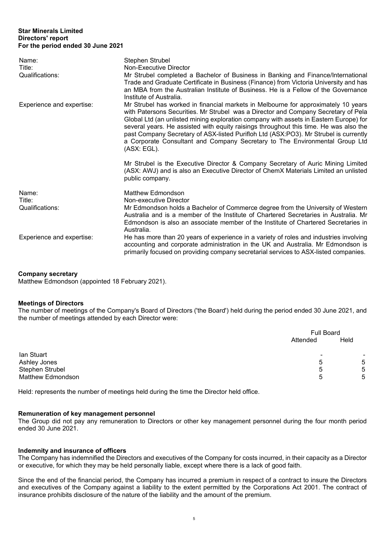| Name:<br>Title:<br>Qualifications: | Stephen Strubel<br>Non-Executive Director<br>Mr Strubel completed a Bachelor of Business in Banking and Finance/International<br>Trade and Graduate Certificate in Business (Finance) from Victoria University and has<br>an MBA from the Australian Institute of Business. He is a Fellow of the Governance<br>Institute of Australia.                                                                                                                                                                                                          |
|------------------------------------|--------------------------------------------------------------------------------------------------------------------------------------------------------------------------------------------------------------------------------------------------------------------------------------------------------------------------------------------------------------------------------------------------------------------------------------------------------------------------------------------------------------------------------------------------|
| Experience and expertise:          | Mr Strubel has worked in financial markets in Melbourne for approximately 10 years<br>with Patersons Securities. Mr Strubel was a Director and Company Secretary of Pela<br>Global Ltd (an unlisted mining exploration company with assets in Eastern Europe) for<br>several years. He assisted with equity raisings throughout this time. He was also the<br>past Company Secretary of ASX-listed Purifloh Ltd (ASX:PO3). Mr Strubel is currently<br>a Corporate Consultant and Company Secretary to The Environmental Group Ltd<br>(ASX: EGL). |
|                                    | Mr Strubel is the Executive Director & Company Secretary of Auric Mining Limited<br>(ASX: AWJ) and is also an Executive Director of ChemX Materials Limited an unlisted<br>public company.                                                                                                                                                                                                                                                                                                                                                       |
| Name:                              | <b>Matthew Edmondson</b>                                                                                                                                                                                                                                                                                                                                                                                                                                                                                                                         |
| Title:                             | Non-executive Director                                                                                                                                                                                                                                                                                                                                                                                                                                                                                                                           |
| Qualifications:                    | Mr Edmondson holds a Bachelor of Commerce degree from the University of Western<br>Australia and is a member of the Institute of Chartered Secretaries in Australia. Mr<br>Edmondson is also an associate member of the Institute of Chartered Secretaries in<br>Australia.                                                                                                                                                                                                                                                                      |
| Experience and expertise:          | He has more than 20 years of experience in a variety of roles and industries involving<br>accounting and corporate administration in the UK and Australia. Mr Edmondson is<br>primarily focused on providing company secretarial services to ASX-listed companies.                                                                                                                                                                                                                                                                               |

#### **Company secretary**

Matthew Edmondson (appointed 18 February 2021).

#### **Meetings of Directors**

The number of meetings of the Company's Board of Directors ('the Board') held during the period ended 30 June 2021, and the number of meetings attended by each Director were:

|                          |          | <b>Full Board</b> |  |
|--------------------------|----------|-------------------|--|
|                          | Attended | Held              |  |
| lan Stuart               |          |                   |  |
| Ashley Jones             | 5        | 5                 |  |
| Stephen Strubel          | 5        | 5                 |  |
| <b>Matthew Edmondson</b> | h        | 5                 |  |

Held: represents the number of meetings held during the time the Director held office.

#### **Remuneration of key management personnel**

The Group did not pay any remuneration to Directors or other key management personnel during the four month period ended 30 June 2021.

#### **Indemnity and insurance of officers**

The Company has indemnified the Directors and executives of the Company for costs incurred, in their capacity as a Director or executive, for which they may be held personally liable, except where there is a lack of good faith.

Since the end of the financial period, the Company has incurred a premium in respect of a contract to insure the Directors and executives of the Company against a liability to the extent permitted by the Corporations Act 2001. The contract of insurance prohibits disclosure of the nature of the liability and the amount of the premium.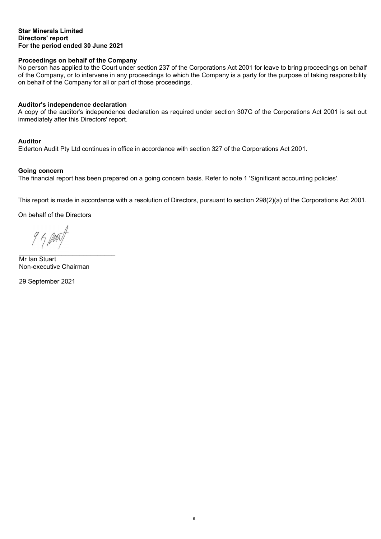# **Proceedings on behalf of the Company**

No person has applied to the Court under section 237 of the Corporations Act 2001 for leave to bring proceedings on behalf of the Company, or to intervene in any proceedings to which the Company is a party for the purpose of taking responsibility on behalf of the Company for all or part of those proceedings.

#### **Auditor's independence declaration**

A copy of the auditor's independence declaration as required under section 307C of the Corporations Act 2001 is set out immediately after this Directors' report.

# **Auditor**

Elderton Audit Pty Ltd continues in office in accordance with section 327 of the Corporations Act 2001.

#### **Going concern**

The financial report has been prepared on a going concern basis. Refer to note 1 'Significant accounting policies'.

This report is made in accordance with a resolution of Directors, pursuant to section 298(2)(a) of the Corporations Act 2001.

On behalf of the Directors

 $950$ \_\_\_\_\_\_\_\_\_\_\_\_\_\_\_\_\_\_\_\_\_\_\_\_\_\_\_

Mr Ian Stuart Non-executive Chairman

29 September 2021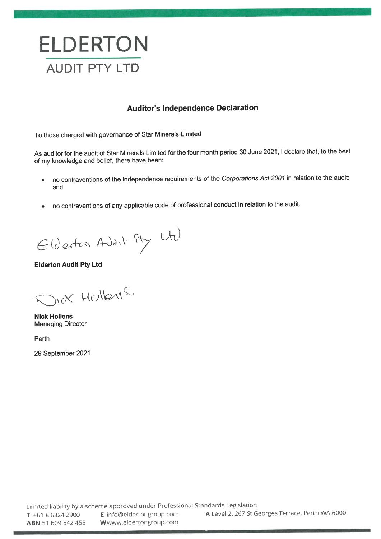

# **Auditor's Independence Declaration**

To those charged with governance of Star Minerals Limited

As auditor for the audit of Star Minerals Limited for the four month period 30 June 2021, I declare that, to the best of my knowledge and belief, there have been:

- no contraventions of the independence requirements of the Corporations Act 2001 in relation to the audit;  $\bullet$ and
- no contraventions of any applicable code of professional conduct in relation to the audit.

Elderton Adalt Pty Ut

**Elderton Audit Pty Ltd** 

nex Hollens.

**Nick Hollens Managing Director** 

Perth

29 September 2021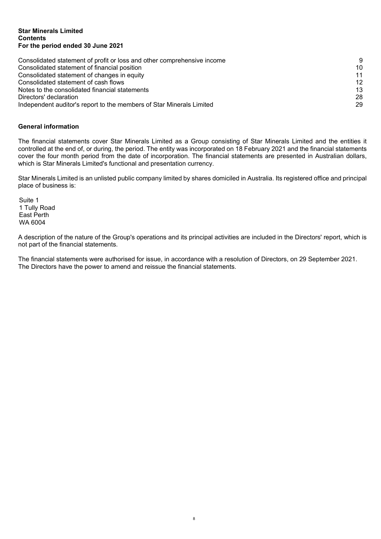#### **Star Minerals Limited Contents For the period ended 30 June 2021**

| Consolidated statement of profit or loss and other comprehensive income |    |
|-------------------------------------------------------------------------|----|
| Consolidated statement of financial position                            | 10 |
| Consolidated statement of changes in equity                             | 11 |
| Consolidated statement of cash flows                                    | 12 |
| Notes to the consolidated financial statements                          | 13 |
| Directors' declaration                                                  | 28 |
| Independent auditor's report to the members of Star Minerals Limited    | 29 |

# **General information**

The financial statements cover Star Minerals Limited as a Group consisting of Star Minerals Limited and the entities it controlled at the end of, or during, the period. The entity was incorporated on 18 February 2021 and the financial statements cover the four month period from the date of incorporation. The financial statements are presented in Australian dollars, which is Star Minerals Limited's functional and presentation currency.

Star Minerals Limited is an unlisted public company limited by shares domiciled in Australia. Its registered office and principal place of business is:

Suite 1 1 Tully Road East Perth WA 6004

A description of the nature of the Group's operations and its principal activities are included in the Directors' report, which is not part of the financial statements.

The financial statements were authorised for issue, in accordance with a resolution of Directors, on 29 September 2021. The Directors have the power to amend and reissue the financial statements.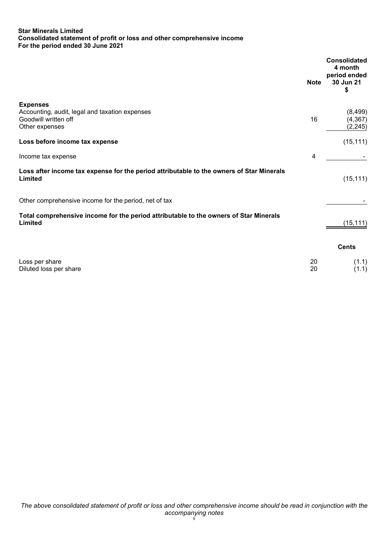# **Star Minerals Limited Consolidated statement of profit or loss and other comprehensive income For the period ended 30 June 2021**

|                                                                                                             | <b>Note</b> | <b>Consolidated</b><br>4 month<br>period ended<br>30 Jun 21<br>\$ |
|-------------------------------------------------------------------------------------------------------------|-------------|-------------------------------------------------------------------|
| <b>Expenses</b><br>Accounting, audit, legal and taxation expenses<br>Goodwill written off<br>Other expenses | 16          | (8, 499)<br>(4, 367)<br>(2, 245)                                  |
| Loss before income tax expense                                                                              |             | (15, 111)                                                         |
| Income tax expense                                                                                          | 4           |                                                                   |
| Loss after income tax expense for the period attributable to the owners of Star Minerals<br>Limited         |             | (15, 111)                                                         |
| Other comprehensive income for the period, net of tax                                                       |             |                                                                   |
| Total comprehensive income for the period attributable to the owners of Star Minerals<br>Limited            |             | (15, 111)                                                         |
|                                                                                                             |             | <b>Cents</b>                                                      |
| Loss per share<br>Diluted loss per share                                                                    | 20<br>20    | (1.1)<br>(1.1)                                                    |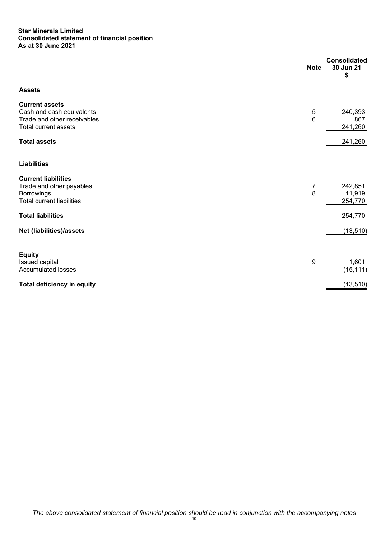#### **Star Minerals Limited Consolidated statement of financial position As at 30 June 2021**

|                                                          | <b>Note</b> | <b>Consolidated</b><br>30 Jun 21<br>\$ |
|----------------------------------------------------------|-------------|----------------------------------------|
| <b>Assets</b>                                            |             |                                        |
| <b>Current assets</b>                                    |             |                                        |
| Cash and cash equivalents<br>Trade and other receivables | 5<br>6      | 240,393                                |
| Total current assets                                     |             | 867<br>241,260                         |
|                                                          |             |                                        |
| <b>Total assets</b>                                      |             | 241,260                                |
| <b>Liabilities</b>                                       |             |                                        |
| <b>Current liabilities</b>                               |             |                                        |
| Trade and other payables                                 | 7           | 242,851                                |
| <b>Borrowings</b>                                        | 8           | 11,919                                 |
| <b>Total current liabilities</b>                         |             | 254,770                                |
| <b>Total liabilities</b>                                 |             | 254,770                                |
| Net (liabilities)/assets                                 |             | (13, 510)                              |
| <b>Equity</b>                                            |             |                                        |
| Issued capital                                           | 9           | 1,601                                  |
| <b>Accumulated losses</b>                                |             | (15, 111)                              |
|                                                          |             |                                        |
| <b>Total deficiency in equity</b>                        |             | (13, 510)                              |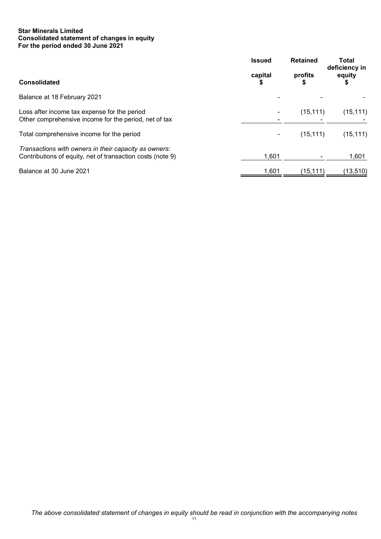# **Star Minerals Limited Consolidated statement of changes in equity For the period ended 30 June 2021**

|                                                                                                                     | <b>Issued</b> | <b>Retained</b> | <b>Total</b><br>deficiency in |
|---------------------------------------------------------------------------------------------------------------------|---------------|-----------------|-------------------------------|
| <b>Consolidated</b>                                                                                                 | capital       | profits         | equity                        |
| Balance at 18 February 2021                                                                                         |               |                 |                               |
| Loss after income tax expense for the period<br>Other comprehensive income for the period, net of tax               |               | (15, 111)       | (15, 111)                     |
| Total comprehensive income for the period                                                                           |               | (15, 111)       | (15, 111)                     |
| Transactions with owners in their capacity as owners:<br>Contributions of equity, net of transaction costs (note 9) | 1,601         |                 | 1,601                         |
| Balance at 30 June 2021                                                                                             | 1.601         | (15.111)        | (13, 510)                     |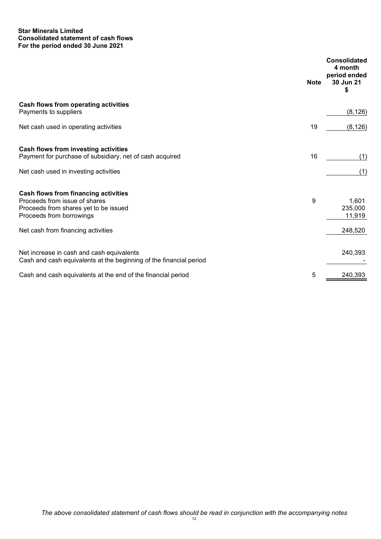## **Star Minerals Limited Consolidated statement of cash flows For the period ended 30 June 2021**

|                                                                                                                                            | <b>Note</b> | <b>Consolidated</b><br>4 month<br>period ended<br>30 Jun 21<br>\$ |
|--------------------------------------------------------------------------------------------------------------------------------------------|-------------|-------------------------------------------------------------------|
| Cash flows from operating activities<br>Payments to suppliers                                                                              |             | (8, 126)                                                          |
| Net cash used in operating activities                                                                                                      | 19          | (8, 126)                                                          |
| Cash flows from investing activities<br>Payment for purchase of subsidiary, net of cash acquired<br>Net cash used in investing activities  | 16          | (1)<br>(1)                                                        |
| Cash flows from financing activities<br>Proceeds from issue of shares<br>Proceeds from shares yet to be issued<br>Proceeds from borrowings | 9           | 1,601<br>235,000<br>11,919                                        |
| Net cash from financing activities                                                                                                         |             | 248,520                                                           |
| Net increase in cash and cash equivalents<br>Cash and cash equivalents at the beginning of the financial period                            |             | 240,393                                                           |
| Cash and cash equivalents at the end of the financial period                                                                               | 5           | 240,393                                                           |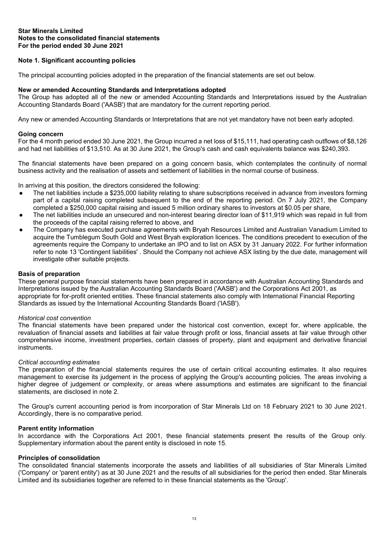# **Note 1. Significant accounting policies**

The principal accounting policies adopted in the preparation of the financial statements are set out below.

#### **New or amended Accounting Standards and Interpretations adopted**

The Group has adopted all of the new or amended Accounting Standards and Interpretations issued by the Australian Accounting Standards Board ('AASB') that are mandatory for the current reporting period.

Any new or amended Accounting Standards or Interpretations that are not yet mandatory have not been early adopted.

#### **Going concern**

For the 4 month period ended 30 June 2021, the Group incurred a net loss of \$15,111, had operating cash outflows of \$8,126 and had net liabilities of \$13,510. As at 30 June 2021, the Group's cash and cash equivalents balance was \$240,393.

The financial statements have been prepared on a going concern basis, which contemplates the continuity of normal business activity and the realisation of assets and settlement of liabilities in the normal course of business.

In arriving at this position, the directors considered the following:

- The net liabilities include a \$235,000 liability relating to share subscriptions received in advance from investors forming part of a capital raising completed subsequent to the end of the reporting period. On 7 July 2021, the Company completed a \$250,000 capital raising and issued 5 million ordinary shares to investors at \$0.05 per share,
- The net liabilities include an unsecured and non-interest bearing director loan of \$11,919 which was repaid in full from the proceeds of the capital raising referred to above, and
- The Company has executed purchase agreements with Bryah Resources Limited and Australian Vanadium Limited to acquire the Tumblegum South Gold and West Bryah exploration licences. The conditions precedent to execution of the agreements require the Company to undertake an IPO and to list on ASX by 31 January 2022. For further information refer to note 13 'Contingent liabilities' . Should the Company not achieve ASX listing by the due date, management will investigate other suitable projects.

#### **Basis of preparation**

These general purpose financial statements have been prepared in accordance with Australian Accounting Standards and Interpretations issued by the Australian Accounting Standards Board ('AASB') and the Corporations Act 2001, as appropriate for for-profit oriented entities. These financial statements also comply with International Financial Reporting Standards as issued by the International Accounting Standards Board ('IASB').

#### *Historical cost convention*

The financial statements have been prepared under the historical cost convention, except for, where applicable, the revaluation of financial assets and liabilities at fair value through profit or loss, financial assets at fair value through other comprehensive income, investment properties, certain classes of property, plant and equipment and derivative financial instruments.

#### *Critical accounting estimates*

The preparation of the financial statements requires the use of certain critical accounting estimates. It also requires management to exercise its judgement in the process of applying the Group's accounting policies. The areas involving a higher degree of judgement or complexity, or areas where assumptions and estimates are significant to the financial statements, are disclosed in note 2.

The Group's current accounting period is from incorporation of Star Minerals Ltd on 18 February 2021 to 30 June 2021. Accordingly, there is no comparative period.

#### **Parent entity information**

In accordance with the Corporations Act 2001, these financial statements present the results of the Group only. Supplementary information about the parent entity is disclosed in note 15.

#### **Principles of consolidation**

The consolidated financial statements incorporate the assets and liabilities of all subsidiaries of Star Minerals Limited ('Company' or 'parent entity') as at 30 June 2021 and the results of all subsidiaries for the period then ended. Star Minerals Limited and its subsidiaries together are referred to in these financial statements as the 'Group'.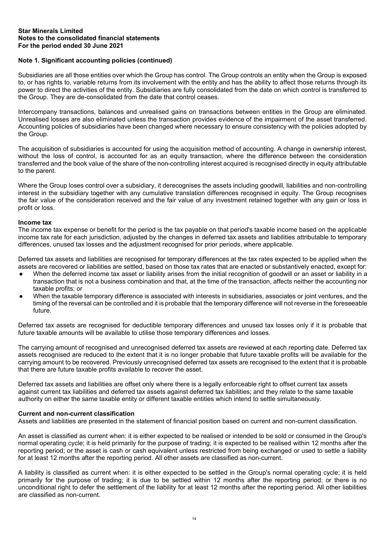# **Note 1. Significant accounting policies (continued)**

Subsidiaries are all those entities over which the Group has control. The Group controls an entity when the Group is exposed to, or has rights to, variable returns from its involvement with the entity and has the ability to affect those returns through its power to direct the activities of the entity. Subsidiaries are fully consolidated from the date on which control is transferred to the Group. They are de-consolidated from the date that control ceases.

Intercompany transactions, balances and unrealised gains on transactions between entities in the Group are eliminated. Unrealised losses are also eliminated unless the transaction provides evidence of the impairment of the asset transferred. Accounting policies of subsidiaries have been changed where necessary to ensure consistency with the policies adopted by the Group.

The acquisition of subsidiaries is accounted for using the acquisition method of accounting. A change in ownership interest, without the loss of control, is accounted for as an equity transaction, where the difference between the consideration transferred and the book value of the share of the non-controlling interest acquired is recognised directly in equity attributable to the parent.

Where the Group loses control over a subsidiary, it derecognises the assets including goodwill, liabilities and non-controlling interest in the subsidiary together with any cumulative translation differences recognised in equity. The Group recognises the fair value of the consideration received and the fair value of any investment retained together with any gain or loss in profit or loss.

#### **Income tax**

The income tax expense or benefit for the period is the tax payable on that period's taxable income based on the applicable income tax rate for each jurisdiction, adjusted by the changes in deferred tax assets and liabilities attributable to temporary differences, unused tax losses and the adjustment recognised for prior periods, where applicable.

Deferred tax assets and liabilities are recognised for temporary differences at the tax rates expected to be applied when the assets are recovered or liabilities are settled, based on those tax rates that are enacted or substantively enacted, except for:

- When the deferred income tax asset or liability arises from the initial recognition of goodwill or an asset or liability in a transaction that is not a business combination and that, at the time of the transaction, affects neither the accounting nor taxable profits; or
- When the taxable temporary difference is associated with interests in subsidiaries, associates or joint ventures, and the timing of the reversal can be controlled and it is probable that the temporary difference will not reverse in the foreseeable future.

Deferred tax assets are recognised for deductible temporary differences and unused tax losses only if it is probable that future taxable amounts will be available to utilise those temporary differences and losses.

The carrying amount of recognised and unrecognised deferred tax assets are reviewed at each reporting date. Deferred tax assets recognised are reduced to the extent that it is no longer probable that future taxable profits will be available for the carrying amount to be recovered. Previously unrecognised deferred tax assets are recognised to the extent that it is probable that there are future taxable profits available to recover the asset.

Deferred tax assets and liabilities are offset only where there is a legally enforceable right to offset current tax assets against current tax liabilities and deferred tax assets against deferred tax liabilities; and they relate to the same taxable authority on either the same taxable entity or different taxable entities which intend to settle simultaneously.

#### **Current and non-current classification**

Assets and liabilities are presented in the statement of financial position based on current and non-current classification.

An asset is classified as current when: it is either expected to be realised or intended to be sold or consumed in the Group's normal operating cycle; it is held primarily for the purpose of trading; it is expected to be realised within 12 months after the reporting period; or the asset is cash or cash equivalent unless restricted from being exchanged or used to settle a liability for at least 12 months after the reporting period. All other assets are classified as non-current.

A liability is classified as current when: it is either expected to be settled in the Group's normal operating cycle; it is held primarily for the purpose of trading; it is due to be settled within 12 months after the reporting period; or there is no unconditional right to defer the settlement of the liability for at least 12 months after the reporting period. All other liabilities are classified as non-current.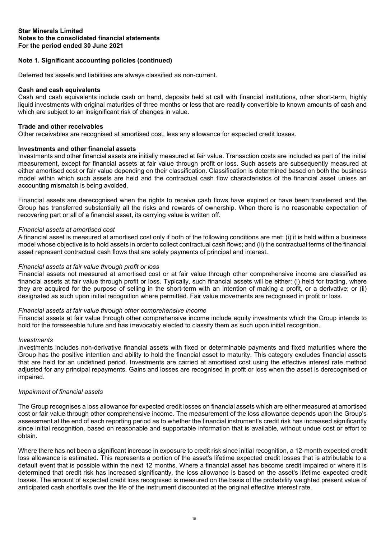# **Note 1. Significant accounting policies (continued)**

Deferred tax assets and liabilities are always classified as non-current.

#### **Cash and cash equivalents**

Cash and cash equivalents include cash on hand, deposits held at call with financial institutions, other short-term, highly liquid investments with original maturities of three months or less that are readily convertible to known amounts of cash and which are subject to an insignificant risk of changes in value.

#### **Trade and other receivables**

Other receivables are recognised at amortised cost, less any allowance for expected credit losses.

#### **Investments and other financial assets**

Investments and other financial assets are initially measured at fair value. Transaction costs are included as part of the initial measurement, except for financial assets at fair value through profit or loss. Such assets are subsequently measured at either amortised cost or fair value depending on their classification. Classification is determined based on both the business model within which such assets are held and the contractual cash flow characteristics of the financial asset unless an accounting mismatch is being avoided.

Financial assets are derecognised when the rights to receive cash flows have expired or have been transferred and the Group has transferred substantially all the risks and rewards of ownership. When there is no reasonable expectation of recovering part or all of a financial asset, its carrying value is written off.

#### *Financial assets at amortised cost*

A financial asset is measured at amortised cost only if both of the following conditions are met: (i) it is held within a business model whose objective is to hold assets in order to collect contractual cash flows; and (ii) the contractual terms of the financial asset represent contractual cash flows that are solely payments of principal and interest.

#### *Financial assets at fair value through profit or loss*

Financial assets not measured at amortised cost or at fair value through other comprehensive income are classified as financial assets at fair value through profit or loss. Typically, such financial assets will be either: (i) held for trading, where they are acquired for the purpose of selling in the short-term with an intention of making a profit, or a derivative; or (ii) designated as such upon initial recognition where permitted. Fair value movements are recognised in profit or loss.

#### *Financial assets at fair value through other comprehensive income*

Financial assets at fair value through other comprehensive income include equity investments which the Group intends to hold for the foreseeable future and has irrevocably elected to classify them as such upon initial recognition.

#### *Investments*

Investments includes non-derivative financial assets with fixed or determinable payments and fixed maturities where the Group has the positive intention and ability to hold the financial asset to maturity. This category excludes financial assets that are held for an undefined period. Investments are carried at amortised cost using the effective interest rate method adjusted for any principal repayments. Gains and losses are recognised in profit or loss when the asset is derecognised or impaired.

## *Impairment of financial assets*

The Group recognises a loss allowance for expected credit losses on financial assets which are either measured at amortised cost or fair value through other comprehensive income. The measurement of the loss allowance depends upon the Group's assessment at the end of each reporting period as to whether the financial instrument's credit risk has increased significantly since initial recognition, based on reasonable and supportable information that is available, without undue cost or effort to obtain.

Where there has not been a significant increase in exposure to credit risk since initial recognition, a 12-month expected credit loss allowance is estimated. This represents a portion of the asset's lifetime expected credit losses that is attributable to a default event that is possible within the next 12 months. Where a financial asset has become credit impaired or where it is determined that credit risk has increased significantly, the loss allowance is based on the asset's lifetime expected credit losses. The amount of expected credit loss recognised is measured on the basis of the probability weighted present value of anticipated cash shortfalls over the life of the instrument discounted at the original effective interest rate.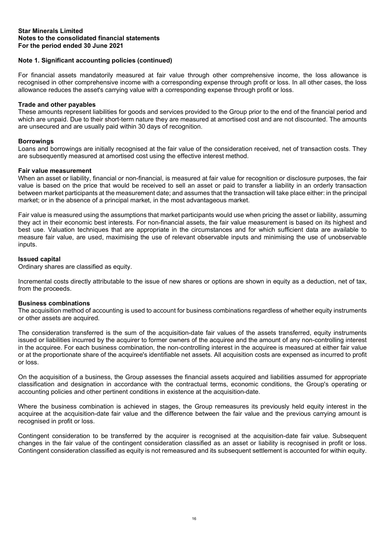# **Note 1. Significant accounting policies (continued)**

For financial assets mandatorily measured at fair value through other comprehensive income, the loss allowance is recognised in other comprehensive income with a corresponding expense through profit or loss. In all other cases, the loss allowance reduces the asset's carrying value with a corresponding expense through profit or loss.

#### **Trade and other payables**

These amounts represent liabilities for goods and services provided to the Group prior to the end of the financial period and which are unpaid. Due to their short-term nature they are measured at amortised cost and are not discounted. The amounts are unsecured and are usually paid within 30 days of recognition.

# **Borrowings**

Loans and borrowings are initially recognised at the fair value of the consideration received, net of transaction costs. They are subsequently measured at amortised cost using the effective interest method.

#### **Fair value measurement**

When an asset or liability, financial or non-financial, is measured at fair value for recognition or disclosure purposes, the fair value is based on the price that would be received to sell an asset or paid to transfer a liability in an orderly transaction between market participants at the measurement date; and assumes that the transaction will take place either: in the principal market; or in the absence of a principal market, in the most advantageous market.

Fair value is measured using the assumptions that market participants would use when pricing the asset or liability, assuming they act in their economic best interests. For non-financial assets, the fair value measurement is based on its highest and best use. Valuation techniques that are appropriate in the circumstances and for which sufficient data are available to measure fair value, are used, maximising the use of relevant observable inputs and minimising the use of unobservable inputs.

# **Issued capital**

Ordinary shares are classified as equity.

Incremental costs directly attributable to the issue of new shares or options are shown in equity as a deduction, net of tax, from the proceeds.

#### **Business combinations**

The acquisition method of accounting is used to account for business combinations regardless of whether equity instruments or other assets are acquired.

The consideration transferred is the sum of the acquisition-date fair values of the assets transferred, equity instruments issued or liabilities incurred by the acquirer to former owners of the acquiree and the amount of any non-controlling interest in the acquiree. For each business combination, the non-controlling interest in the acquiree is measured at either fair value or at the proportionate share of the acquiree's identifiable net assets. All acquisition costs are expensed as incurred to profit or loss.

On the acquisition of a business, the Group assesses the financial assets acquired and liabilities assumed for appropriate classification and designation in accordance with the contractual terms, economic conditions, the Group's operating or accounting policies and other pertinent conditions in existence at the acquisition-date.

Where the business combination is achieved in stages, the Group remeasures its previously held equity interest in the acquiree at the acquisition-date fair value and the difference between the fair value and the previous carrying amount is recognised in profit or loss.

Contingent consideration to be transferred by the acquirer is recognised at the acquisition-date fair value. Subsequent changes in the fair value of the contingent consideration classified as an asset or liability is recognised in profit or loss. Contingent consideration classified as equity is not remeasured and its subsequent settlement is accounted for within equity.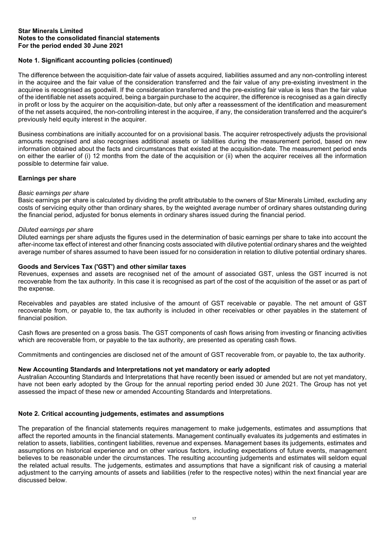# **Note 1. Significant accounting policies (continued)**

The difference between the acquisition-date fair value of assets acquired, liabilities assumed and any non-controlling interest in the acquiree and the fair value of the consideration transferred and the fair value of any pre-existing investment in the acquiree is recognised as goodwill. If the consideration transferred and the pre-existing fair value is less than the fair value of the identifiable net assets acquired, being a bargain purchase to the acquirer, the difference is recognised as a gain directly in profit or loss by the acquirer on the acquisition-date, but only after a reassessment of the identification and measurement of the net assets acquired, the non-controlling interest in the acquiree, if any, the consideration transferred and the acquirer's previously held equity interest in the acquirer.

Business combinations are initially accounted for on a provisional basis. The acquirer retrospectively adjusts the provisional amounts recognised and also recognises additional assets or liabilities during the measurement period, based on new information obtained about the facts and circumstances that existed at the acquisition-date. The measurement period ends on either the earlier of (i) 12 months from the date of the acquisition or (ii) when the acquirer receives all the information possible to determine fair value.

# **Earnings per share**

#### *Basic earnings per share*

Basic earnings per share is calculated by dividing the profit attributable to the owners of Star Minerals Limited, excluding any costs of servicing equity other than ordinary shares, by the weighted average number of ordinary shares outstanding during the financial period, adjusted for bonus elements in ordinary shares issued during the financial period.

#### *Diluted earnings per share*

Diluted earnings per share adjusts the figures used in the determination of basic earnings per share to take into account the after-income tax effect of interest and other financing costs associated with dilutive potential ordinary shares and the weighted average number of shares assumed to have been issued for no consideration in relation to dilutive potential ordinary shares.

# **Goods and Services Tax ('GST') and other similar taxes**

Revenues, expenses and assets are recognised net of the amount of associated GST, unless the GST incurred is not recoverable from the tax authority. In this case it is recognised as part of the cost of the acquisition of the asset or as part of the expense.

Receivables and payables are stated inclusive of the amount of GST receivable or payable. The net amount of GST recoverable from, or payable to, the tax authority is included in other receivables or other payables in the statement of financial position.

Cash flows are presented on a gross basis. The GST components of cash flows arising from investing or financing activities which are recoverable from, or payable to the tax authority, are presented as operating cash flows.

Commitments and contingencies are disclosed net of the amount of GST recoverable from, or payable to, the tax authority.

# **New Accounting Standards and Interpretations not yet mandatory or early adopted**

Australian Accounting Standards and Interpretations that have recently been issued or amended but are not yet mandatory, have not been early adopted by the Group for the annual reporting period ended 30 June 2021. The Group has not yet assessed the impact of these new or amended Accounting Standards and Interpretations.

#### **Note 2. Critical accounting judgements, estimates and assumptions**

The preparation of the financial statements requires management to make judgements, estimates and assumptions that affect the reported amounts in the financial statements. Management continually evaluates its judgements and estimates in relation to assets, liabilities, contingent liabilities, revenue and expenses. Management bases its judgements, estimates and assumptions on historical experience and on other various factors, including expectations of future events, management believes to be reasonable under the circumstances. The resulting accounting judgements and estimates will seldom equal the related actual results. The judgements, estimates and assumptions that have a significant risk of causing a material adjustment to the carrying amounts of assets and liabilities (refer to the respective notes) within the next financial year are discussed below.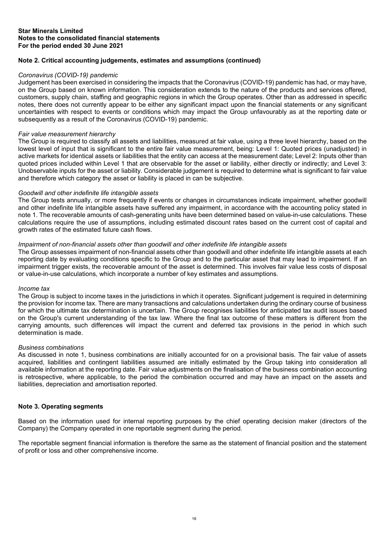# **Note 2. Critical accounting judgements, estimates and assumptions (continued)**

#### *Coronavirus (COVID-19) pandemic*

Judgement has been exercised in considering the impacts that the Coronavirus (COVID-19) pandemic has had, or may have, on the Group based on known information. This consideration extends to the nature of the products and services offered, customers, supply chain, staffing and geographic regions in which the Group operates. Other than as addressed in specific notes, there does not currently appear to be either any significant impact upon the financial statements or any significant uncertainties with respect to events or conditions which may impact the Group unfavourably as at the reporting date or subsequently as a result of the Coronavirus (COVID-19) pandemic.

#### *Fair value measurement hierarchy*

The Group is required to classify all assets and liabilities, measured at fair value, using a three level hierarchy, based on the lowest level of input that is significant to the entire fair value measurement, being: Level 1: Quoted prices (unadjusted) in active markets for identical assets or liabilities that the entity can access at the measurement date; Level 2: Inputs other than quoted prices included within Level 1 that are observable for the asset or liability, either directly or indirectly; and Level 3: Unobservable inputs for the asset or liability. Considerable judgement is required to determine what is significant to fair value and therefore which category the asset or liability is placed in can be subjective.

#### *Goodwill and other indefinite life intangible assets*

The Group tests annually, or more frequently if events or changes in circumstances indicate impairment, whether goodwill and other indefinite life intangible assets have suffered any impairment, in accordance with the accounting policy stated in note 1. The recoverable amounts of cash-generating units have been determined based on value-in-use calculations. These calculations require the use of assumptions, including estimated discount rates based on the current cost of capital and growth rates of the estimated future cash flows.

#### *Impairment of non-financial assets other than goodwill and other indefinite life intangible assets*

The Group assesses impairment of non-financial assets other than goodwill and other indefinite life intangible assets at each reporting date by evaluating conditions specific to the Group and to the particular asset that may lead to impairment. If an impairment trigger exists, the recoverable amount of the asset is determined. This involves fair value less costs of disposal or value-in-use calculations, which incorporate a number of key estimates and assumptions.

#### *Income tax*

The Group is subject to income taxes in the jurisdictions in which it operates. Significant judgement is required in determining the provision for income tax. There are many transactions and calculations undertaken during the ordinary course of business for which the ultimate tax determination is uncertain. The Group recognises liabilities for anticipated tax audit issues based on the Group's current understanding of the tax law. Where the final tax outcome of these matters is different from the carrying amounts, such differences will impact the current and deferred tax provisions in the period in which such determination is made.

# *Business combinations*

As discussed in note 1, business combinations are initially accounted for on a provisional basis. The fair value of assets acquired, liabilities and contingent liabilities assumed are initially estimated by the Group taking into consideration all available information at the reporting date. Fair value adjustments on the finalisation of the business combination accounting is retrospective, where applicable, to the period the combination occurred and may have an impact on the assets and liabilities, depreciation and amortisation reported.

#### **Note 3. Operating segments**

Based on the information used for internal reporting purposes by the chief operating decision maker (directors of the Company) the Company operated in one reportable segment during the period.

The reportable segment financial information is therefore the same as the statement of financial position and the statement of profit or loss and other comprehensive income.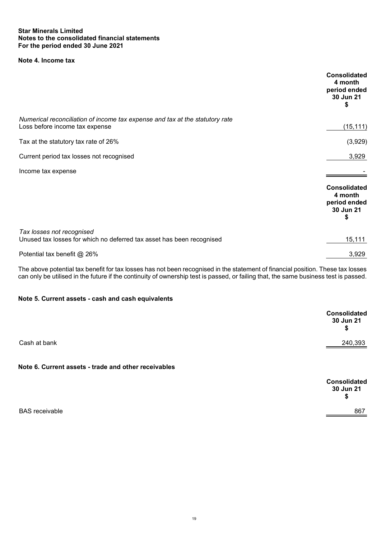# **Note 4. Income tax**

|                                                                                                                | <b>Consolidated</b><br>4 month<br>period ended<br>30 Jun 21<br>\$ |
|----------------------------------------------------------------------------------------------------------------|-------------------------------------------------------------------|
| Numerical reconciliation of income tax expense and tax at the statutory rate<br>Loss before income tax expense | (15, 111)                                                         |
| Tax at the statutory tax rate of 26%                                                                           | (3,929)                                                           |
| Current period tax losses not recognised                                                                       | 3,929                                                             |
| Income tax expense                                                                                             |                                                                   |
|                                                                                                                | <b>Consolidated</b><br>4 month<br>period ended<br>30 Jun 21<br>\$ |
| Tax losses not recognised<br>Unused tax losses for which no deferred tax asset has been recognised             | 15,111                                                            |
| Potential tax benefit @ 26%                                                                                    | 3,929                                                             |

The above potential tax benefit for tax losses has not been recognised in the statement of financial position. These tax losses can only be utilised in the future if the continuity of ownership test is passed, or failing that, the same business test is passed.

# **Note 5. Current assets - cash and cash equivalents**

|              | <b>Consolidated</b><br>30 Jun 21<br>\$ |
|--------------|----------------------------------------|
| Cash at bank | 240,393                                |

# **Note 6. Current assets - trade and other receivables**

|                       | <b>Consolidated</b><br>30 Jun 21<br>\$ |
|-----------------------|----------------------------------------|
| <b>BAS</b> receivable | 867                                    |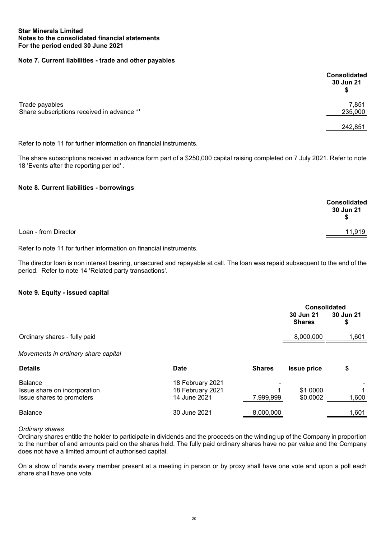# **Note 7. Current liabilities - trade and other payables**

|                                                              | <b>Consolidated</b><br>30 Jun 21<br>\$ |
|--------------------------------------------------------------|----------------------------------------|
| Trade payables<br>Share subscriptions received in advance ** | 7,851<br>235,000                       |
|                                                              | 242,851                                |

Refer to note 11 for further information on financial instruments.

The share subscriptions received in advance form part of a \$250,000 capital raising completed on 7 July 2021. Refer to note 18 'Events after the reporting period' .

# **Note 8. Current liabilities - borrowings**

|                      | Consolidated<br>30 Jun 21<br>S |
|----------------------|--------------------------------|
| Loan - from Director | 11,919                         |

Refer to note 11 for further information on financial instruments.

The director loan is non interest bearing, unsecured and repayable at call. The loan was repaid subsequent to the end of the period. Refer to note 14 'Related party transactions'.

#### **Note 9. Equity - issued capital**

|                                     |                  |               | <b>Consolidated</b>        |                 |
|-------------------------------------|------------------|---------------|----------------------------|-----------------|
|                                     |                  |               | 30 Jun 21<br><b>Shares</b> | 30 Jun 21<br>\$ |
| Ordinary shares - fully paid        |                  |               | 8,000,000                  | 1,601           |
| Movements in ordinary share capital |                  |               |                            |                 |
| <b>Details</b>                      | <b>Date</b>      | <b>Shares</b> | <b>Issue price</b>         | \$              |
| <b>Balance</b>                      | 18 February 2021 |               |                            |                 |
| Issue share on incorporation        | 18 February 2021 |               | \$1.0000                   |                 |
| Issue shares to promoters           | 14 June 2021     | 7,999,999     | \$0.0002                   | 1,600           |

# Balance 30 June 2021 <u> 8,000,000 1,601</u>

#### *Ordinary shares*

Ordinary shares entitle the holder to participate in dividends and the proceeds on the winding up of the Company in proportion to the number of and amounts paid on the shares held. The fully paid ordinary shares have no par value and the Company does not have a limited amount of authorised capital.

On a show of hands every member present at a meeting in person or by proxy shall have one vote and upon a poll each share shall have one vote.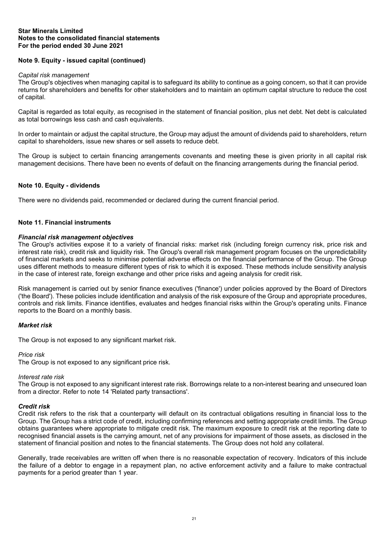# **Note 9. Equity - issued capital (continued)**

#### *Capital risk management*

The Group's objectives when managing capital is to safeguard its ability to continue as a going concern, so that it can provide returns for shareholders and benefits for other stakeholders and to maintain an optimum capital structure to reduce the cost of capital.

Capital is regarded as total equity, as recognised in the statement of financial position, plus net debt. Net debt is calculated as total borrowings less cash and cash equivalents.

In order to maintain or adjust the capital structure, the Group may adjust the amount of dividends paid to shareholders, return capital to shareholders, issue new shares or sell assets to reduce debt.

The Group is subject to certain financing arrangements covenants and meeting these is given priority in all capital risk management decisions. There have been no events of default on the financing arrangements during the financial period.

#### **Note 10. Equity - dividends**

There were no dividends paid, recommended or declared during the current financial period.

# **Note 11. Financial instruments**

#### *Financial risk management objectives*

The Group's activities expose it to a variety of financial risks: market risk (including foreign currency risk, price risk and interest rate risk), credit risk and liquidity risk. The Group's overall risk management program focuses on the unpredictability of financial markets and seeks to minimise potential adverse effects on the financial performance of the Group. The Group uses different methods to measure different types of risk to which it is exposed. These methods include sensitivity analysis in the case of interest rate, foreign exchange and other price risks and ageing analysis for credit risk.

Risk management is carried out by senior finance executives ('finance') under policies approved by the Board of Directors ('the Board'). These policies include identification and analysis of the risk exposure of the Group and appropriate procedures, controls and risk limits. Finance identifies, evaluates and hedges financial risks within the Group's operating units. Finance reports to the Board on a monthly basis.

#### *Market risk*

The Group is not exposed to any significant market risk.

#### *Price risk*

The Group is not exposed to any significant price risk.

#### *Interest rate risk*

The Group is not exposed to any significant interest rate risk. Borrowings relate to a non-interest bearing and unsecured loan from a director. Refer to note 14 'Related party transactions'.

#### *Credit risk*

Credit risk refers to the risk that a counterparty will default on its contractual obligations resulting in financial loss to the Group. The Group has a strict code of credit, including confirming references and setting appropriate credit limits. The Group obtains guarantees where appropriate to mitigate credit risk. The maximum exposure to credit risk at the reporting date to recognised financial assets is the carrying amount, net of any provisions for impairment of those assets, as disclosed in the statement of financial position and notes to the financial statements. The Group does not hold any collateral.

Generally, trade receivables are written off when there is no reasonable expectation of recovery. Indicators of this include the failure of a debtor to engage in a repayment plan, no active enforcement activity and a failure to make contractual payments for a period greater than 1 year.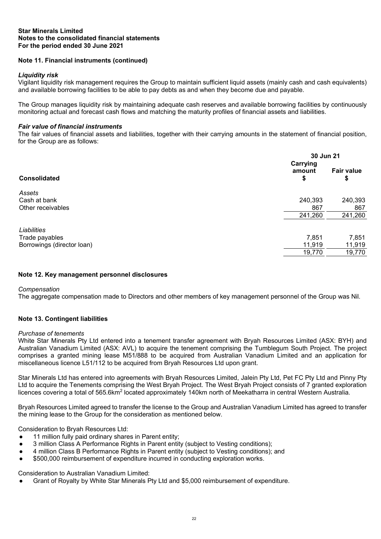# **Note 11. Financial instruments (continued)**

# *Liquidity risk*

Vigilant liquidity risk management requires the Group to maintain sufficient liquid assets (mainly cash and cash equivalents) and available borrowing facilities to be able to pay debts as and when they become due and payable.

The Group manages liquidity risk by maintaining adequate cash reserves and available borrowing facilities by continuously monitoring actual and forecast cash flows and matching the maturity profiles of financial assets and liabilities.

#### *Fair value of financial instruments*

The fair values of financial assets and liabilities, together with their carrying amounts in the statement of financial position, for the Group are as follows:

|                            |                          | 30 Jun 21               |  |
|----------------------------|--------------------------|-------------------------|--|
| <b>Consolidated</b>        | Carrying<br>amount<br>\$ | <b>Fair value</b><br>\$ |  |
| Assets                     |                          |                         |  |
| Cash at bank               | 240,393                  | 240,393                 |  |
| Other receivables          | 867                      | 867                     |  |
|                            | 241,260                  | 241,260                 |  |
| Liabilities                |                          |                         |  |
| Trade payables             | 7,851                    | 7,851                   |  |
| Borrowings (director loan) | 11,919                   | 11,919                  |  |
|                            | 19,770                   | 19,770                  |  |
|                            |                          |                         |  |

#### **Note 12. Key management personnel disclosures**

#### *Compensation*

The aggregate compensation made to Directors and other members of key management personnel of the Group was Nil.

## **Note 13. Contingent liabilities**

#### *Purchase of tenements*

White Star Minerals Pty Ltd entered into a tenement transfer agreement with Bryah Resources Limited (ASX: BYH) and Australian Vanadium Limited (ASX: AVL) to acquire the tenement comprising the Tumblegum South Project. The project comprises a granted mining lease M51/888 to be acquired from Australian Vanadium Limited and an application for miscellaneous licence L51/112 to be acquired from Bryah Resources Ltd upon grant.

Star Minerals Ltd has entered into agreements with Bryah Resources Limited, Jalein Pty Ltd, Pet FC Pty Ltd and Pinny Pty Ltd to acquire the Tenements comprising the West Bryah Project. The West Bryah Project consists of 7 granted exploration licences covering a total of 565.6km<sup>2</sup> located approximately 140km north of Meekatharra in central Western Australia.

Bryah Resources Limited agreed to transfer the license to the Group and Australian Vanadium Limited has agreed to transfer the mining lease to the Group for the consideration as mentioned below.

Consideration to Bryah Resources Ltd:

- 11 million fully paid ordinary shares in Parent entity;
- 3 million Class A Performance Rights in Parent entity (subject to Vesting conditions);
- 4 million Class B Performance Rights in Parent entity (subject to Vesting conditions); and
- \$500,000 reimbursement of expenditure incurred in conducting exploration works.

Consideration to Australian Vanadium Limited:

Grant of Royalty by White Star Minerals Pty Ltd and \$5,000 reimbursement of expenditure.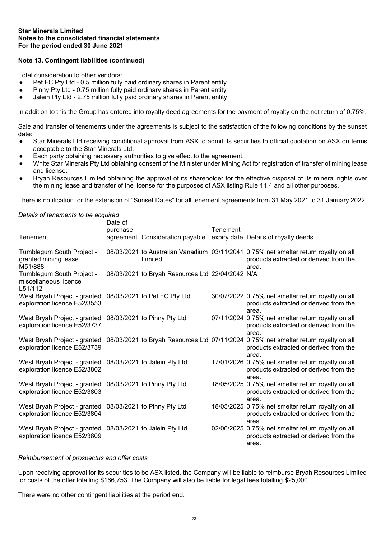# **Note 13. Contingent liabilities (continued)**

Total consideration to other vendors:

- Pet FC Pty Ltd 0.5 million fully paid ordinary shares in Parent entity
- Pinny Pty Ltd 0.75 million fully paid ordinary shares in Parent entity
- Jalein Pty Ltd 2.75 million fully paid ordinary shares in Parent entity

In addition to this the Group has entered into royalty deed agreements for the payment of royalty on the net return of 0.75%.

Sale and transfer of tenements under the agreements is subject to the satisfaction of the following conditions by the sunset date:

- Star Minerals Ltd receiving conditional approval from ASX to admit its securities to official quotation on ASX on terms acceptable to the Star Minerals Ltd.
- Each party obtaining necessary authorities to give effect to the agreement.
- White Star Minerals Pty Ltd obtaining consent of the Minister under Mining Act for registration of transfer of mining lease and license.
- Bryah Resources Limited obtaining the approval of its shareholder for the effective disposal of its mineral rights over the mining lease and transfer of the license for the purposes of ASX listing Rule 11.4 and all other purposes.

There is notification for the extension of "Sunset Dates" for all tenement agreements from 31 May 2021 to 31 January 2022.

#### *Details of tenements to be acquired*

| Tenement                                                                                  | Date of<br>purchase | agreement Consideration payable                  | Tenement | expiry date Details of royalty deeds                                                                                                    |
|-------------------------------------------------------------------------------------------|---------------------|--------------------------------------------------|----------|-----------------------------------------------------------------------------------------------------------------------------------------|
| Tumblegum South Project -<br>granted mining lease<br>M51/888                              |                     | Limited                                          |          | 08/03/2021 to Australian Vanadium 03/11/2041 0.75% net smelter return royalty on all<br>products extracted or derived from the<br>area. |
| Tumblegum South Project -<br>miscellaneous licence<br>L51/112                             |                     | 08/03/2021 to Bryah Resources Ltd 22/04/2042 N/A |          |                                                                                                                                         |
| West Bryah Project - granted 08/03/2021 to Pet FC Pty Ltd<br>exploration licence E52/3553 |                     |                                                  |          | 30/07/2022 0.75% net smelter return royalty on all<br>products extracted or derived from the<br>area.                                   |
| West Bryah Project - granted<br>exploration licence E52/3737                              |                     | 08/03/2021 to Pinny Pty Ltd                      |          | 07/11/2024 0.75% net smelter return royalty on all<br>products extracted or derived from the<br>area.                                   |
| West Bryah Project - granted<br>exploration licence E52/3739                              |                     |                                                  |          | 08/03/2021 to Bryah Resources Ltd 07/11/2024 0.75% net smelter return royalty on all<br>products extracted or derived from the<br>area. |
| West Bryah Project - granted 08/03/2021 to Jalein Pty Ltd<br>exploration licence E52/3802 |                     |                                                  |          | 17/01/2026 0.75% net smelter return royalty on all<br>products extracted or derived from the<br>area.                                   |
| West Bryah Project - granted 08/03/2021 to Pinny Pty Ltd<br>exploration licence E52/3803  |                     |                                                  |          | 18/05/2025 0.75% net smelter return royalty on all<br>products extracted or derived from the<br>area.                                   |
| West Bryah Project - granted<br>exploration licence E52/3804                              |                     | 08/03/2021 to Pinny Pty Ltd                      |          | 18/05/2025 0.75% net smelter return royalty on all<br>products extracted or derived from the<br>area.                                   |
| West Bryah Project - granted<br>exploration licence E52/3809                              |                     | 08/03/2021 to Jalein Pty Ltd                     |          | 02/06/2025 0.75% net smelter return royalty on all<br>products extracted or derived from the<br>area.                                   |

#### *Reimbursement of prospectus and offer costs*

Upon receiving approval for its securities to be ASX listed, the Company will be liable to reimburse Bryah Resources Limited for costs of the offer totalling \$166,753. The Company will also be liable for legal fees totalling \$25,000.

There were no other contingent liabilities at the period end.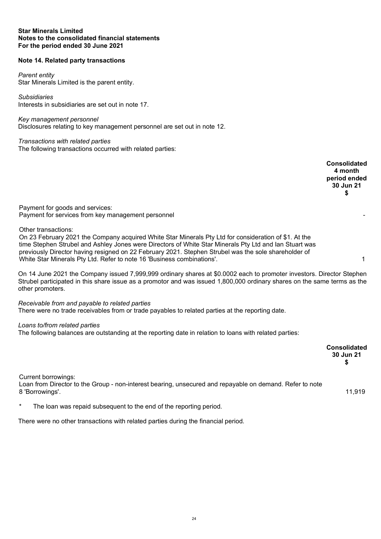# **Note 14. Related party transactions**

#### *Parent entity*

Star Minerals Limited is the parent entity.

*Subsidiaries* Interests in subsidiaries are set out in note 17.

*Key management personnel* Disclosures relating to key management personnel are set out in note 12.

*Transactions with related parties* The following transactions occurred with related parties:

**Consolidated 4 month period ended 30 Jun 21 \$** Payment for goods and services: Payment for services from key management personnel Other transactions: On 23 February 2021 the Company acquired White Star Minerals Pty Ltd for consideration of \$1. At the time Stephen Strubel and Ashley Jones were Directors of White Star Minerals Pty Ltd and Ian Stuart was previously Director having resigned on 22 February 2021. Stephen Strubel was the sole shareholder of White Star Minerals Pty Ltd. Refer to note 16 'Business combinations'. 1 On 14 June 2021 the Company issued 7,999,999 ordinary shares at \$0.0002 each to promoter investors. Director Stephen Strubel participated in this share issue as a promotor and was issued 1,800,000 ordinary shares on the same terms as the other promoters. *Receivable from and payable to related parties* There were no trade receivables from or trade payables to related parties at the reporting date. *Loans to/from related parties*

The following balances are outstanding at the reporting date in relation to loans with related parties:

|                                                                                                                                                    | <b>Consolidated</b><br>30 Jun 21 |
|----------------------------------------------------------------------------------------------------------------------------------------------------|----------------------------------|
| Current borrowings:<br>Loan from Director to the Group - non-interest bearing, unsecured and repayable on demand. Refer to note<br>8 'Borrowings'. | 11,919                           |
| $\star$<br>The loan was repaid subsequent to the end of the reporting period.                                                                      |                                  |

There were no other transactions with related parties during the financial period.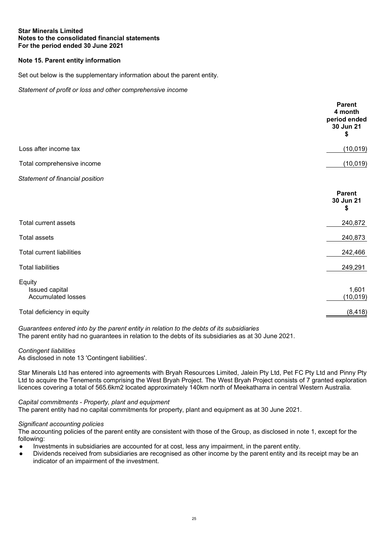# **Note 15. Parent entity information**

Set out below is the supplementary information about the parent entity.

*Statement of profit or loss and other comprehensive income*

| Loss after income tax<br>Total comprehensive income<br>Statement of financial position<br><b>Parent</b><br>30 Jun 21<br>\$<br>240,872<br>Total current assets<br>240,873<br><b>Total assets</b><br><b>Total current liabilities</b><br>242,466<br><b>Total liabilities</b><br>249,291<br>Equity<br>1,601<br>Issued capital<br><b>Accumulated losses</b><br>Total deficiency in equity | <b>Parent</b><br>4 month<br>period ended<br>30 Jun 21<br>\$ |
|---------------------------------------------------------------------------------------------------------------------------------------------------------------------------------------------------------------------------------------------------------------------------------------------------------------------------------------------------------------------------------------|-------------------------------------------------------------|
|                                                                                                                                                                                                                                                                                                                                                                                       | (10, 019)                                                   |
|                                                                                                                                                                                                                                                                                                                                                                                       | (10, 019)                                                   |
|                                                                                                                                                                                                                                                                                                                                                                                       |                                                             |
|                                                                                                                                                                                                                                                                                                                                                                                       |                                                             |
|                                                                                                                                                                                                                                                                                                                                                                                       |                                                             |
|                                                                                                                                                                                                                                                                                                                                                                                       |                                                             |
|                                                                                                                                                                                                                                                                                                                                                                                       |                                                             |
|                                                                                                                                                                                                                                                                                                                                                                                       |                                                             |
|                                                                                                                                                                                                                                                                                                                                                                                       | (10, 019)                                                   |
|                                                                                                                                                                                                                                                                                                                                                                                       | (8, 418)                                                    |

*Guarantees entered into by the parent entity in relation to the debts of its subsidiaries* The parent entity had no guarantees in relation to the debts of its subsidiaries as at 30 June 2021.

*Contingent liabilities*

As disclosed in note 13 'Contingent liabilities'.

Star Minerals Ltd has entered into agreements with Bryah Resources Limited, Jalein Pty Ltd, Pet FC Pty Ltd and Pinny Pty Ltd to acquire the Tenements comprising the West Bryah Project. The West Bryah Project consists of 7 granted exploration licences covering a total of 565.6km2 located approximately 140km north of Meekatharra in central Western Australia.

#### *Capital commitments - Property, plant and equipment*

The parent entity had no capital commitments for property, plant and equipment as at 30 June 2021.

#### *Significant accounting policies*

The accounting policies of the parent entity are consistent with those of the Group, as disclosed in note 1, except for the following:

- Investments in subsidiaries are accounted for at cost, less any impairment, in the parent entity.
- Dividends received from subsidiaries are recognised as other income by the parent entity and its receipt may be an indicator of an impairment of the investment.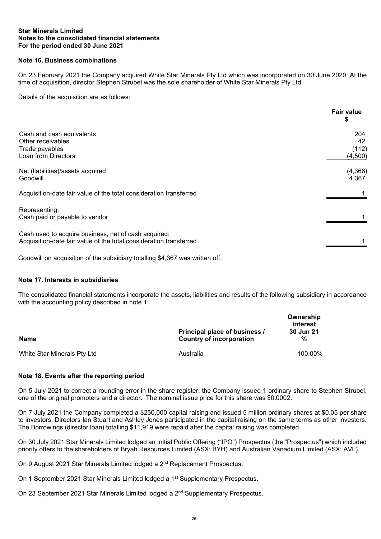# **Note 16. Business combinations**

On 23 February 2021 the Company acquired White Star Minerals Pty Ltd which was incorporated on 30 June 2020. At the time of acquisition, director Stephen Strubel was the sole shareholder of White Star Minerals Pty Ltd.

Details of the acquisition are as follows:

| <b>Fair value</b> |
|-------------------|
| 204<br>42         |
| (112)<br>(4,500)  |
| (4, 366)<br>4,367 |
|                   |
|                   |
|                   |
|                   |

Goodwill on acquisition of the subsidiary totalling \$4,367 was written off.

# **Note 17. Interests in subsidiaries**

The consolidated financial statements incorporate the assets, liabilities and results of the following subsidiary in accordance with the accounting policy described in note 1:

| Name                        | Principal place of business /<br><b>Country of incorporation</b> | Ownership<br>interest<br>30 Jun 21<br>% |
|-----------------------------|------------------------------------------------------------------|-----------------------------------------|
| White Star Minerals Pty Ltd | Australia                                                        | 100.00%                                 |

# **Note 18. Events after the reporting period**

On 5 July 2021 to correct a rounding error in the share register, the Company issued 1 ordinary share to Stephen Strubel, one of the original promoters and a director. The nominal issue price for this share was \$0.0002.

On 7 July 2021 the Company completed a \$250,000 capital raising and issued 5 million ordinary shares at \$0.05 per share to investors. Directors Ian Stuart and Ashley Jones participated in the capital raising on the same terms as other investors. The Borrowings (director loan) totalling \$11,919 were repaid after the capital raising was completed.

On 30 July 2021 Star Minerals Limited lodged an Initial Public Offering ("IPO") Prospectus (the "Prospectus") which included priority offers to the shareholders of Bryah Resources Limited (ASX: BYH) and Australian Vanadium Limited (ASX: AVL).

On 9 August 2021 Star Minerals Limited lodged a 2<sup>nd</sup> Replacement Prospectus.

On 1 September 2021 Star Minerals Limited lodged a 1<sup>st</sup> Supplementary Prospectus.

On 23 September 2021 Star Minerals Limited lodged a 2<sup>nd</sup> Supplementary Prospectus.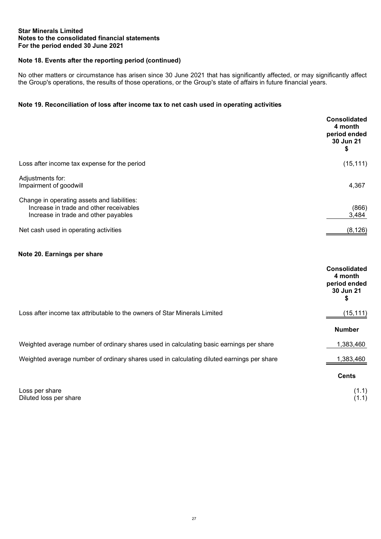# **Note 18. Events after the reporting period (continued)**

No other matters or circumstance has arisen since 30 June 2021 that has significantly affected, or may significantly affect the Group's operations, the results of those operations, or the Group's state of affairs in future financial years.

# **Note 19. Reconciliation of loss after income tax to net cash used in operating activities**

|                                                                                                                                | <b>Consolidated</b><br>4 month<br>period ended<br>30 Jun 21<br>\$ |
|--------------------------------------------------------------------------------------------------------------------------------|-------------------------------------------------------------------|
| Loss after income tax expense for the period                                                                                   | (15, 111)                                                         |
| Adjustments for:<br>Impairment of goodwill                                                                                     | 4,367                                                             |
| Change in operating assets and liabilities:<br>Increase in trade and other receivables<br>Increase in trade and other payables | (866)<br>3,484                                                    |
| Net cash used in operating activities                                                                                          | (8, 126)                                                          |

# **Note 20. Earnings per share**

|                                                                                           | <b>Consolidated</b><br>4 month<br>period ended<br>30 Jun 21<br>\$ |
|-------------------------------------------------------------------------------------------|-------------------------------------------------------------------|
| Loss after income tax attributable to the owners of Star Minerals Limited                 | (15, 111)                                                         |
|                                                                                           | <b>Number</b>                                                     |
| Weighted average number of ordinary shares used in calculating basic earnings per share   | 1,383,460                                                         |
| Weighted average number of ordinary shares used in calculating diluted earnings per share | 1,383,460                                                         |
|                                                                                           | <b>Cents</b>                                                      |
| Loss per share<br>Diluted loss per share                                                  | (1.1)                                                             |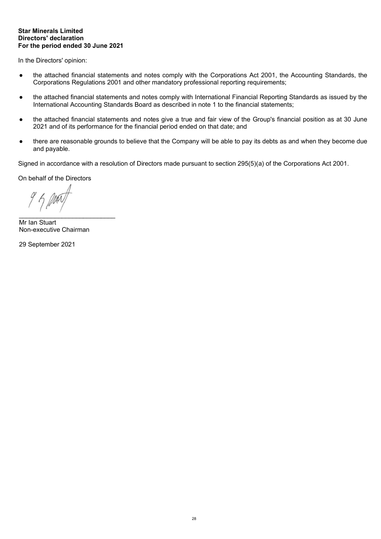In the Directors' opinion:

- the attached financial statements and notes comply with the Corporations Act 2001, the Accounting Standards, the Corporations Regulations 2001 and other mandatory professional reporting requirements;
- the attached financial statements and notes comply with International Financial Reporting Standards as issued by the International Accounting Standards Board as described in note 1 to the financial statements;
- the attached financial statements and notes give a true and fair view of the Group's financial position as at 30 June 2021 and of its performance for the financial period ended on that date; and
- there are reasonable grounds to believe that the Company will be able to pay its debts as and when they become due and payable.

Signed in accordance with a resolution of Directors made pursuant to section 295(5)(a) of the Corporations Act 2001.

On behalf of the Directors

\_\_\_\_\_\_\_\_\_\_\_\_\_\_\_\_\_\_\_\_\_\_\_\_\_\_\_

Mr Ian Stuart Non-executive Chairman

29 September 2021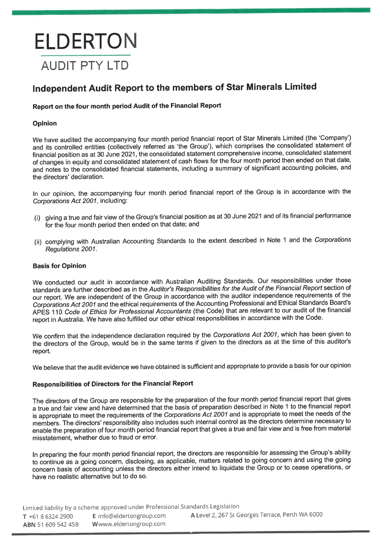# **ELDERTON AUDIT PTY LTD**

# Independent Audit Report to the members of Star Minerals Limited

# Report on the four month period Audit of the Financial Report

# Opinion

We have audited the accompanying four month period financial report of Star Minerals Limited (the 'Company') and its controlled entities (collectively referred as 'the Group'), which comprises the consolidated statement of financial position as at 30 June 2021, the consolidated statement comprehensive income, consolidated statement of changes in equity and consolidated statement of cash flows for the four month period then ended on that date, and notes to the consolidated financial statements, including a summary of significant accounting policies, and the directors' declaration.

In our opinion, the accompanying four month period financial report of the Group is in accordance with the Corporations Act 2001, including:

- (i) giving a true and fair view of the Group's financial position as at 30 June 2021 and of its financial performance for the four month period then ended on that date; and
- (ii) complying with Australian Accounting Standards to the extent described in Note 1 and the Corporations Regulations 2001.

# **Basis for Opinion**

We conducted our audit in accordance with Australian Auditing Standards. Our responsibilities under those standards are further described as in the Auditor's Responsibilities for the Audit of the Financial Report section of our report. We are independent of the Group in accordance with the auditor independence requirements of the Corporations Act 2001 and the ethical requirements of the Accounting Professional and Ethical Standards Board's APES 110 Code of Ethics for Professional Accountants (the Code) that are relevant to our audit of the financial report in Australia. We have also fulfilled our other ethical responsibilities in accordance with the Code.

We confirm that the independence declaration required by the Corporations Act 2001, which has been given to the directors of the Group, would be in the same terms if given to the directors as at the time of this auditor's report.

We believe that the audit evidence we have obtained is sufficient and appropriate to provide a basis for our opinion

# **Responsibilities of Directors for the Financial Report**

The directors of the Group are responsible for the preparation of the four month period financial report that gives a true and fair view and have determined that the basis of preparation described in Note 1 to the financial report is appropriate to meet the requirements of the Corporations Act 2001 and is appropriate to meet the needs of the members. The directors' responsibility also includes such internal control as the directors determine necessary to enable the preparation of four month period financial report that gives a true and fair view and is free from material misstatement, whether due to fraud or error.

In preparing the four month period financial report, the directors are responsible for assessing the Group's ability to continue as a going concern, disclosing, as applicable, matters related to going concern and using the going concern basis of accounting unless the directors either intend to liquidate the Group or to cease operations, or have no realistic alternative but to do so.